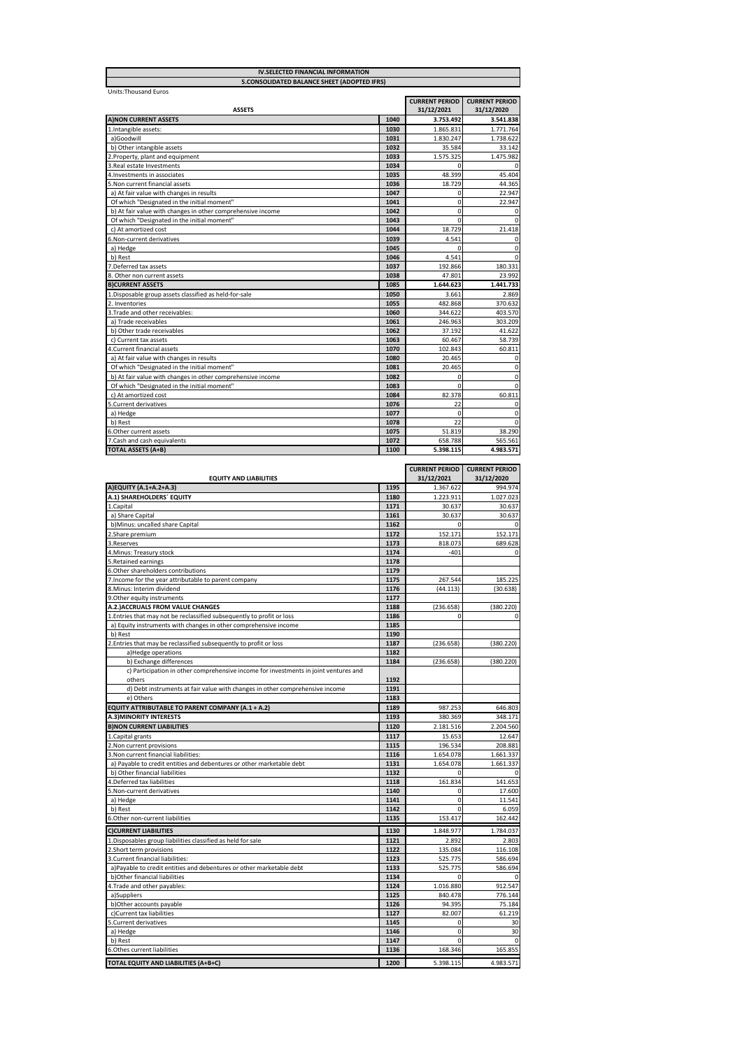| <b>IV.SELECTED FINANCIAL INFORMATION</b><br>5.CONSOLIDATED BALANCE SHEET (ADOPTED IFRS) |      |                                     |                                     |
|-----------------------------------------------------------------------------------------|------|-------------------------------------|-------------------------------------|
|                                                                                         |      |                                     |                                     |
| <b>Units: Thousand Euros</b><br><b>ASSETS</b>                                           |      | <b>CURRENT PERIOD</b><br>31/12/2021 | <b>CURRENT PERIOD</b><br>31/12/2020 |
| <b>AINON CURRENT ASSETS</b>                                                             | 1040 | 3.753.492                           | 3.541.838                           |
| 1. Intangible assets:                                                                   | 1030 | 1.865.831                           | 1.771.764                           |
| a)Goodwill                                                                              | 1031 | 1.830.247                           | 1.738.622                           |
| b) Other intangible assets                                                              | 1032 | 35.584                              | 33.142                              |
| 2. Property, plant and equipment                                                        | 1033 | 1.575.325                           | 1.475.982                           |
| 3. Real estate Investments                                                              | 1034 |                                     | $\Omega$                            |
| 4. Investments in associates                                                            | 1035 | 48.399                              | 45.404                              |
| 5. Non current financial assets                                                         | 1036 | 18.729                              | 44.365                              |
| a) At fair value with changes in results                                                | 1047 | $\mathbf 0$                         | 22.947                              |
| Of which "Designated in the initial moment"                                             | 1041 | $\Omega$                            | 22.947                              |
| b) At fair value with changes in other comprehensive income                             | 1042 | $\Omega$                            | $\mathbf 0$                         |
| Of which "Designated in the initial moment"                                             | 1043 | $\mathbf 0$                         | $\mathbf 0$                         |
| c) At amortized cost                                                                    | 1044 | 18.729                              | 21.418                              |
| 6. Non-current derivatives                                                              | 1039 | 4.541                               | $\mathbf 0$                         |
| a) Hedge                                                                                | 1045 | $\Omega$                            | $\mathbf 0$                         |
| b) Rest                                                                                 | 1046 | 4.541                               | $\Omega$                            |
| 7. Deferred tax assets                                                                  | 1037 | 192.866                             | 180.331                             |
| 8. Other non current assets                                                             | 1038 | 47.801                              | 23.992                              |
| <b>BICURRENT ASSETS</b>                                                                 | 1085 | 1.644.623                           | 1.441.733                           |
| 1. Disposable group assets classified as held-for-sale                                  | 1050 | 3.661                               | 2.869                               |
| 2. Inventories                                                                          | 1055 | 482.868                             | 370.632                             |
| 3. Trade and other receivables:                                                         | 1060 | 344.622                             | 403.570                             |
| a) Trade receivables                                                                    | 1061 | 246.963                             | 303.209                             |
| b) Other trade receivables                                                              | 1062 | 37.192                              | 41.622                              |
| c) Current tax assets                                                                   | 1063 | 60.467                              | 58.739                              |
| 4. Current financial assets                                                             | 1070 | 102.843                             | 60.811                              |
| a) At fair value with changes in results                                                | 1080 | 20.465                              | 0                                   |
| Of which "Designated in the initial moment"                                             | 1081 | 20.465                              | $\mathbf 0$                         |
| b) At fair value with changes in other comprehensive income                             | 1082 | $\mathbf 0$                         | $\mathbf 0$                         |
| Of which "Designated in the initial moment"                                             | 1083 | $\Omega$                            | $\mathbf 0$                         |
| c) At amortized cost                                                                    | 1084 | 82.378                              | 60.811                              |
| 5. Current derivatives                                                                  | 1076 | 22                                  | 0                                   |
| a) Hedge                                                                                | 1077 | $\Omega$                            | $\mathbf 0$                         |
| b) Rest                                                                                 | 1078 | 22                                  | $\Omega$                            |
| 6. Other current assets                                                                 | 1075 | 51.819                              | 38.290                              |
| 7. Cash and cash equivalents                                                            | 1072 | 658.788                             | 565.561                             |
| <b>TOTAL ASSETS (A+B)</b>                                                               | 1100 | 5.398.115                           | 4.983.571                           |

| <b>EQUITY AND LIABILITIES</b><br>31/12/2021<br>31/12/2020<br>A)EQUITY (A.1+A.2+A.3)<br>1195<br>1.367.622<br>A.1) SHAREHOLDERS' EQUITY<br>1180<br>1.223.911<br>1.Capital<br>1171<br>30.637<br>30.637<br>a) Share Capital<br>1161<br>30.637<br>b) Minus: uncalled share Capital<br>1162<br>$\mathbf 0$<br>$\Omega$<br>2.Share premium<br>1172<br>152.171<br>3.Reserves<br>1173<br>818.073<br>689.628<br>1174<br>$-401$<br>4. Minus: Treasury stock<br>1178<br>5. Retained earnings<br>1179<br>6. Other shareholders contributions<br>1175<br>7. Income for the year attributable to parent company<br>267.544<br>185.225<br>1176<br>8. Minus: Interim dividend<br>(44.113)<br>(30.638)<br>1177<br>9. Other equity instruments<br>A.2.) ACCRUALS FROM VALUE CHANGES<br>1188<br>(380.220)<br>(236.658)<br>1186<br>1. Entries that may not be reclassified subsequently to profit or loss<br>$\Omega$<br>0<br>1185<br>a) Equity instruments with changes in other comprehensive income<br>1190<br>b) Rest<br>1187<br>2. Entries that may be reclassified subsequently to profit or loss<br>(236.658)<br>(380.220)<br>1182<br>a)Hedge operations<br>b) Exchange differences<br>1184<br>(380.220)<br>(236.658)<br>c) Participation in other comprehensive income for investments in joint ventures and<br>1192<br>others<br>1191<br>d) Debt instruments at fair value with changes in other comprehensive income<br>e) Others<br>1183<br>EQUITY ATTRIBUTABLE TO PARENT COMPANY (A.1 + A.2)<br>1189<br>987.253<br>646.803<br>1193<br><b>A.3)MINORITY INTERESTS</b><br>380.369<br>348.171<br><b>B)NON CURRENT LIABILITIES</b><br>1120<br>2.181.516<br>2.204.560<br>1. Capital grants<br>1117<br>15.653<br>12.647<br>1115<br>196.534<br>208.881<br>2. Non current provisions<br>1116<br>3. Non current financial liabilities:<br>1.654.078<br>1.661.337<br>1131<br>1.654.078<br>a) Payable to credit entities and debentures or other marketable debt<br>1.661.337<br>b) Other financial liabilities<br>1132<br>4. Deferred tax liabilities<br>1118<br>161.834<br>141.653<br>5. Non-current derivatives<br>1140<br>17.600<br>$\mathbf 0$<br>1141<br>$\mathbf 0$<br>11.541<br>a) Hedge<br>$\mathbf 0$<br>b) Rest<br>1142<br>6.059<br>153.417<br>6. Other non-current liabilities<br>1135<br>162.442<br><b>C)CURRENT LIABILITIES</b><br>1130<br>1.848.977<br>1.784.037<br>1121<br>2.803<br>1. Disposables group liabilities classified as held for sale<br>2.892<br>1122<br>135.084<br>2. Short term provisions<br>116.108<br>3. Current financial liabilities:<br>1123<br>525.775<br>586.694<br>a)Payable to credit entities and debentures or other marketable debt<br>1133<br>525.775<br>586.694<br>b)Other financial liabilities<br>1134<br>0<br>4. Trade and other payables:<br>1124<br>1.016.880<br>912.547<br>a)Suppliers<br>1125<br>840.478<br>776.144<br>b)Other accounts payable<br>1126<br>94.395<br>75.184<br>c)Current tax liabilities<br>1127<br>82.007<br>61.219<br>5. Current derivatives<br>1145<br>$\mathbf 0$<br>30<br>$\mathbf 0$<br>a) Hedge<br>1146<br>30<br>b) Rest<br>1147<br>$\Omega$<br>6.Othes current liabilities<br>1136<br>165.855<br>168.346<br><b>TOTAL EQUITY AND LIABILITIES (A+B+C)</b><br>1200<br>5.398.115<br>4.983.571 |  |  | <b>CURRENT PERIOD</b> | <b>CURRENT PERIOD</b> |
|--------------------------------------------------------------------------------------------------------------------------------------------------------------------------------------------------------------------------------------------------------------------------------------------------------------------------------------------------------------------------------------------------------------------------------------------------------------------------------------------------------------------------------------------------------------------------------------------------------------------------------------------------------------------------------------------------------------------------------------------------------------------------------------------------------------------------------------------------------------------------------------------------------------------------------------------------------------------------------------------------------------------------------------------------------------------------------------------------------------------------------------------------------------------------------------------------------------------------------------------------------------------------------------------------------------------------------------------------------------------------------------------------------------------------------------------------------------------------------------------------------------------------------------------------------------------------------------------------------------------------------------------------------------------------------------------------------------------------------------------------------------------------------------------------------------------------------------------------------------------------------------------------------------------------------------------------------------------------------------------------------------------------------------------------------------------------------------------------------------------------------------------------------------------------------------------------------------------------------------------------------------------------------------------------------------------------------------------------------------------------------------------------------------------------------------------------------------------------------------------------------------------------------------------------------------------------------------------------------------------------------------------------------------------------------------------------------------------------------------------------------------------------------------------------------------------------------------------------------------------------------------------------------------------------------------------------------------------------------------------------------------------------------------------------------------------------------------------------------------------------------------------------------------------------------------------------------------------------------------------------|--|--|-----------------------|-----------------------|
|                                                                                                                                                                                                                                                                                                                                                                                                                                                                                                                                                                                                                                                                                                                                                                                                                                                                                                                                                                                                                                                                                                                                                                                                                                                                                                                                                                                                                                                                                                                                                                                                                                                                                                                                                                                                                                                                                                                                                                                                                                                                                                                                                                                                                                                                                                                                                                                                                                                                                                                                                                                                                                                                                                                                                                                                                                                                                                                                                                                                                                                                                                                                                                                                                                                  |  |  |                       |                       |
|                                                                                                                                                                                                                                                                                                                                                                                                                                                                                                                                                                                                                                                                                                                                                                                                                                                                                                                                                                                                                                                                                                                                                                                                                                                                                                                                                                                                                                                                                                                                                                                                                                                                                                                                                                                                                                                                                                                                                                                                                                                                                                                                                                                                                                                                                                                                                                                                                                                                                                                                                                                                                                                                                                                                                                                                                                                                                                                                                                                                                                                                                                                                                                                                                                                  |  |  |                       | 994.974               |
|                                                                                                                                                                                                                                                                                                                                                                                                                                                                                                                                                                                                                                                                                                                                                                                                                                                                                                                                                                                                                                                                                                                                                                                                                                                                                                                                                                                                                                                                                                                                                                                                                                                                                                                                                                                                                                                                                                                                                                                                                                                                                                                                                                                                                                                                                                                                                                                                                                                                                                                                                                                                                                                                                                                                                                                                                                                                                                                                                                                                                                                                                                                                                                                                                                                  |  |  |                       | 1.027.023             |
|                                                                                                                                                                                                                                                                                                                                                                                                                                                                                                                                                                                                                                                                                                                                                                                                                                                                                                                                                                                                                                                                                                                                                                                                                                                                                                                                                                                                                                                                                                                                                                                                                                                                                                                                                                                                                                                                                                                                                                                                                                                                                                                                                                                                                                                                                                                                                                                                                                                                                                                                                                                                                                                                                                                                                                                                                                                                                                                                                                                                                                                                                                                                                                                                                                                  |  |  |                       |                       |
|                                                                                                                                                                                                                                                                                                                                                                                                                                                                                                                                                                                                                                                                                                                                                                                                                                                                                                                                                                                                                                                                                                                                                                                                                                                                                                                                                                                                                                                                                                                                                                                                                                                                                                                                                                                                                                                                                                                                                                                                                                                                                                                                                                                                                                                                                                                                                                                                                                                                                                                                                                                                                                                                                                                                                                                                                                                                                                                                                                                                                                                                                                                                                                                                                                                  |  |  |                       | 30.637                |
|                                                                                                                                                                                                                                                                                                                                                                                                                                                                                                                                                                                                                                                                                                                                                                                                                                                                                                                                                                                                                                                                                                                                                                                                                                                                                                                                                                                                                                                                                                                                                                                                                                                                                                                                                                                                                                                                                                                                                                                                                                                                                                                                                                                                                                                                                                                                                                                                                                                                                                                                                                                                                                                                                                                                                                                                                                                                                                                                                                                                                                                                                                                                                                                                                                                  |  |  |                       |                       |
|                                                                                                                                                                                                                                                                                                                                                                                                                                                                                                                                                                                                                                                                                                                                                                                                                                                                                                                                                                                                                                                                                                                                                                                                                                                                                                                                                                                                                                                                                                                                                                                                                                                                                                                                                                                                                                                                                                                                                                                                                                                                                                                                                                                                                                                                                                                                                                                                                                                                                                                                                                                                                                                                                                                                                                                                                                                                                                                                                                                                                                                                                                                                                                                                                                                  |  |  |                       | 152.171               |
|                                                                                                                                                                                                                                                                                                                                                                                                                                                                                                                                                                                                                                                                                                                                                                                                                                                                                                                                                                                                                                                                                                                                                                                                                                                                                                                                                                                                                                                                                                                                                                                                                                                                                                                                                                                                                                                                                                                                                                                                                                                                                                                                                                                                                                                                                                                                                                                                                                                                                                                                                                                                                                                                                                                                                                                                                                                                                                                                                                                                                                                                                                                                                                                                                                                  |  |  |                       |                       |
|                                                                                                                                                                                                                                                                                                                                                                                                                                                                                                                                                                                                                                                                                                                                                                                                                                                                                                                                                                                                                                                                                                                                                                                                                                                                                                                                                                                                                                                                                                                                                                                                                                                                                                                                                                                                                                                                                                                                                                                                                                                                                                                                                                                                                                                                                                                                                                                                                                                                                                                                                                                                                                                                                                                                                                                                                                                                                                                                                                                                                                                                                                                                                                                                                                                  |  |  |                       |                       |
|                                                                                                                                                                                                                                                                                                                                                                                                                                                                                                                                                                                                                                                                                                                                                                                                                                                                                                                                                                                                                                                                                                                                                                                                                                                                                                                                                                                                                                                                                                                                                                                                                                                                                                                                                                                                                                                                                                                                                                                                                                                                                                                                                                                                                                                                                                                                                                                                                                                                                                                                                                                                                                                                                                                                                                                                                                                                                                                                                                                                                                                                                                                                                                                                                                                  |  |  |                       |                       |
|                                                                                                                                                                                                                                                                                                                                                                                                                                                                                                                                                                                                                                                                                                                                                                                                                                                                                                                                                                                                                                                                                                                                                                                                                                                                                                                                                                                                                                                                                                                                                                                                                                                                                                                                                                                                                                                                                                                                                                                                                                                                                                                                                                                                                                                                                                                                                                                                                                                                                                                                                                                                                                                                                                                                                                                                                                                                                                                                                                                                                                                                                                                                                                                                                                                  |  |  |                       |                       |
|                                                                                                                                                                                                                                                                                                                                                                                                                                                                                                                                                                                                                                                                                                                                                                                                                                                                                                                                                                                                                                                                                                                                                                                                                                                                                                                                                                                                                                                                                                                                                                                                                                                                                                                                                                                                                                                                                                                                                                                                                                                                                                                                                                                                                                                                                                                                                                                                                                                                                                                                                                                                                                                                                                                                                                                                                                                                                                                                                                                                                                                                                                                                                                                                                                                  |  |  |                       |                       |
|                                                                                                                                                                                                                                                                                                                                                                                                                                                                                                                                                                                                                                                                                                                                                                                                                                                                                                                                                                                                                                                                                                                                                                                                                                                                                                                                                                                                                                                                                                                                                                                                                                                                                                                                                                                                                                                                                                                                                                                                                                                                                                                                                                                                                                                                                                                                                                                                                                                                                                                                                                                                                                                                                                                                                                                                                                                                                                                                                                                                                                                                                                                                                                                                                                                  |  |  |                       |                       |
|                                                                                                                                                                                                                                                                                                                                                                                                                                                                                                                                                                                                                                                                                                                                                                                                                                                                                                                                                                                                                                                                                                                                                                                                                                                                                                                                                                                                                                                                                                                                                                                                                                                                                                                                                                                                                                                                                                                                                                                                                                                                                                                                                                                                                                                                                                                                                                                                                                                                                                                                                                                                                                                                                                                                                                                                                                                                                                                                                                                                                                                                                                                                                                                                                                                  |  |  |                       |                       |
|                                                                                                                                                                                                                                                                                                                                                                                                                                                                                                                                                                                                                                                                                                                                                                                                                                                                                                                                                                                                                                                                                                                                                                                                                                                                                                                                                                                                                                                                                                                                                                                                                                                                                                                                                                                                                                                                                                                                                                                                                                                                                                                                                                                                                                                                                                                                                                                                                                                                                                                                                                                                                                                                                                                                                                                                                                                                                                                                                                                                                                                                                                                                                                                                                                                  |  |  |                       |                       |
|                                                                                                                                                                                                                                                                                                                                                                                                                                                                                                                                                                                                                                                                                                                                                                                                                                                                                                                                                                                                                                                                                                                                                                                                                                                                                                                                                                                                                                                                                                                                                                                                                                                                                                                                                                                                                                                                                                                                                                                                                                                                                                                                                                                                                                                                                                                                                                                                                                                                                                                                                                                                                                                                                                                                                                                                                                                                                                                                                                                                                                                                                                                                                                                                                                                  |  |  |                       |                       |
|                                                                                                                                                                                                                                                                                                                                                                                                                                                                                                                                                                                                                                                                                                                                                                                                                                                                                                                                                                                                                                                                                                                                                                                                                                                                                                                                                                                                                                                                                                                                                                                                                                                                                                                                                                                                                                                                                                                                                                                                                                                                                                                                                                                                                                                                                                                                                                                                                                                                                                                                                                                                                                                                                                                                                                                                                                                                                                                                                                                                                                                                                                                                                                                                                                                  |  |  |                       |                       |
|                                                                                                                                                                                                                                                                                                                                                                                                                                                                                                                                                                                                                                                                                                                                                                                                                                                                                                                                                                                                                                                                                                                                                                                                                                                                                                                                                                                                                                                                                                                                                                                                                                                                                                                                                                                                                                                                                                                                                                                                                                                                                                                                                                                                                                                                                                                                                                                                                                                                                                                                                                                                                                                                                                                                                                                                                                                                                                                                                                                                                                                                                                                                                                                                                                                  |  |  |                       |                       |
|                                                                                                                                                                                                                                                                                                                                                                                                                                                                                                                                                                                                                                                                                                                                                                                                                                                                                                                                                                                                                                                                                                                                                                                                                                                                                                                                                                                                                                                                                                                                                                                                                                                                                                                                                                                                                                                                                                                                                                                                                                                                                                                                                                                                                                                                                                                                                                                                                                                                                                                                                                                                                                                                                                                                                                                                                                                                                                                                                                                                                                                                                                                                                                                                                                                  |  |  |                       |                       |
|                                                                                                                                                                                                                                                                                                                                                                                                                                                                                                                                                                                                                                                                                                                                                                                                                                                                                                                                                                                                                                                                                                                                                                                                                                                                                                                                                                                                                                                                                                                                                                                                                                                                                                                                                                                                                                                                                                                                                                                                                                                                                                                                                                                                                                                                                                                                                                                                                                                                                                                                                                                                                                                                                                                                                                                                                                                                                                                                                                                                                                                                                                                                                                                                                                                  |  |  |                       |                       |
|                                                                                                                                                                                                                                                                                                                                                                                                                                                                                                                                                                                                                                                                                                                                                                                                                                                                                                                                                                                                                                                                                                                                                                                                                                                                                                                                                                                                                                                                                                                                                                                                                                                                                                                                                                                                                                                                                                                                                                                                                                                                                                                                                                                                                                                                                                                                                                                                                                                                                                                                                                                                                                                                                                                                                                                                                                                                                                                                                                                                                                                                                                                                                                                                                                                  |  |  |                       |                       |
|                                                                                                                                                                                                                                                                                                                                                                                                                                                                                                                                                                                                                                                                                                                                                                                                                                                                                                                                                                                                                                                                                                                                                                                                                                                                                                                                                                                                                                                                                                                                                                                                                                                                                                                                                                                                                                                                                                                                                                                                                                                                                                                                                                                                                                                                                                                                                                                                                                                                                                                                                                                                                                                                                                                                                                                                                                                                                                                                                                                                                                                                                                                                                                                                                                                  |  |  |                       |                       |
|                                                                                                                                                                                                                                                                                                                                                                                                                                                                                                                                                                                                                                                                                                                                                                                                                                                                                                                                                                                                                                                                                                                                                                                                                                                                                                                                                                                                                                                                                                                                                                                                                                                                                                                                                                                                                                                                                                                                                                                                                                                                                                                                                                                                                                                                                                                                                                                                                                                                                                                                                                                                                                                                                                                                                                                                                                                                                                                                                                                                                                                                                                                                                                                                                                                  |  |  |                       |                       |
|                                                                                                                                                                                                                                                                                                                                                                                                                                                                                                                                                                                                                                                                                                                                                                                                                                                                                                                                                                                                                                                                                                                                                                                                                                                                                                                                                                                                                                                                                                                                                                                                                                                                                                                                                                                                                                                                                                                                                                                                                                                                                                                                                                                                                                                                                                                                                                                                                                                                                                                                                                                                                                                                                                                                                                                                                                                                                                                                                                                                                                                                                                                                                                                                                                                  |  |  |                       |                       |
|                                                                                                                                                                                                                                                                                                                                                                                                                                                                                                                                                                                                                                                                                                                                                                                                                                                                                                                                                                                                                                                                                                                                                                                                                                                                                                                                                                                                                                                                                                                                                                                                                                                                                                                                                                                                                                                                                                                                                                                                                                                                                                                                                                                                                                                                                                                                                                                                                                                                                                                                                                                                                                                                                                                                                                                                                                                                                                                                                                                                                                                                                                                                                                                                                                                  |  |  |                       |                       |
|                                                                                                                                                                                                                                                                                                                                                                                                                                                                                                                                                                                                                                                                                                                                                                                                                                                                                                                                                                                                                                                                                                                                                                                                                                                                                                                                                                                                                                                                                                                                                                                                                                                                                                                                                                                                                                                                                                                                                                                                                                                                                                                                                                                                                                                                                                                                                                                                                                                                                                                                                                                                                                                                                                                                                                                                                                                                                                                                                                                                                                                                                                                                                                                                                                                  |  |  |                       |                       |
|                                                                                                                                                                                                                                                                                                                                                                                                                                                                                                                                                                                                                                                                                                                                                                                                                                                                                                                                                                                                                                                                                                                                                                                                                                                                                                                                                                                                                                                                                                                                                                                                                                                                                                                                                                                                                                                                                                                                                                                                                                                                                                                                                                                                                                                                                                                                                                                                                                                                                                                                                                                                                                                                                                                                                                                                                                                                                                                                                                                                                                                                                                                                                                                                                                                  |  |  |                       |                       |
|                                                                                                                                                                                                                                                                                                                                                                                                                                                                                                                                                                                                                                                                                                                                                                                                                                                                                                                                                                                                                                                                                                                                                                                                                                                                                                                                                                                                                                                                                                                                                                                                                                                                                                                                                                                                                                                                                                                                                                                                                                                                                                                                                                                                                                                                                                                                                                                                                                                                                                                                                                                                                                                                                                                                                                                                                                                                                                                                                                                                                                                                                                                                                                                                                                                  |  |  |                       |                       |
|                                                                                                                                                                                                                                                                                                                                                                                                                                                                                                                                                                                                                                                                                                                                                                                                                                                                                                                                                                                                                                                                                                                                                                                                                                                                                                                                                                                                                                                                                                                                                                                                                                                                                                                                                                                                                                                                                                                                                                                                                                                                                                                                                                                                                                                                                                                                                                                                                                                                                                                                                                                                                                                                                                                                                                                                                                                                                                                                                                                                                                                                                                                                                                                                                                                  |  |  |                       |                       |
|                                                                                                                                                                                                                                                                                                                                                                                                                                                                                                                                                                                                                                                                                                                                                                                                                                                                                                                                                                                                                                                                                                                                                                                                                                                                                                                                                                                                                                                                                                                                                                                                                                                                                                                                                                                                                                                                                                                                                                                                                                                                                                                                                                                                                                                                                                                                                                                                                                                                                                                                                                                                                                                                                                                                                                                                                                                                                                                                                                                                                                                                                                                                                                                                                                                  |  |  |                       |                       |
|                                                                                                                                                                                                                                                                                                                                                                                                                                                                                                                                                                                                                                                                                                                                                                                                                                                                                                                                                                                                                                                                                                                                                                                                                                                                                                                                                                                                                                                                                                                                                                                                                                                                                                                                                                                                                                                                                                                                                                                                                                                                                                                                                                                                                                                                                                                                                                                                                                                                                                                                                                                                                                                                                                                                                                                                                                                                                                                                                                                                                                                                                                                                                                                                                                                  |  |  |                       |                       |
|                                                                                                                                                                                                                                                                                                                                                                                                                                                                                                                                                                                                                                                                                                                                                                                                                                                                                                                                                                                                                                                                                                                                                                                                                                                                                                                                                                                                                                                                                                                                                                                                                                                                                                                                                                                                                                                                                                                                                                                                                                                                                                                                                                                                                                                                                                                                                                                                                                                                                                                                                                                                                                                                                                                                                                                                                                                                                                                                                                                                                                                                                                                                                                                                                                                  |  |  |                       |                       |
|                                                                                                                                                                                                                                                                                                                                                                                                                                                                                                                                                                                                                                                                                                                                                                                                                                                                                                                                                                                                                                                                                                                                                                                                                                                                                                                                                                                                                                                                                                                                                                                                                                                                                                                                                                                                                                                                                                                                                                                                                                                                                                                                                                                                                                                                                                                                                                                                                                                                                                                                                                                                                                                                                                                                                                                                                                                                                                                                                                                                                                                                                                                                                                                                                                                  |  |  |                       |                       |
|                                                                                                                                                                                                                                                                                                                                                                                                                                                                                                                                                                                                                                                                                                                                                                                                                                                                                                                                                                                                                                                                                                                                                                                                                                                                                                                                                                                                                                                                                                                                                                                                                                                                                                                                                                                                                                                                                                                                                                                                                                                                                                                                                                                                                                                                                                                                                                                                                                                                                                                                                                                                                                                                                                                                                                                                                                                                                                                                                                                                                                                                                                                                                                                                                                                  |  |  |                       |                       |
|                                                                                                                                                                                                                                                                                                                                                                                                                                                                                                                                                                                                                                                                                                                                                                                                                                                                                                                                                                                                                                                                                                                                                                                                                                                                                                                                                                                                                                                                                                                                                                                                                                                                                                                                                                                                                                                                                                                                                                                                                                                                                                                                                                                                                                                                                                                                                                                                                                                                                                                                                                                                                                                                                                                                                                                                                                                                                                                                                                                                                                                                                                                                                                                                                                                  |  |  |                       |                       |
|                                                                                                                                                                                                                                                                                                                                                                                                                                                                                                                                                                                                                                                                                                                                                                                                                                                                                                                                                                                                                                                                                                                                                                                                                                                                                                                                                                                                                                                                                                                                                                                                                                                                                                                                                                                                                                                                                                                                                                                                                                                                                                                                                                                                                                                                                                                                                                                                                                                                                                                                                                                                                                                                                                                                                                                                                                                                                                                                                                                                                                                                                                                                                                                                                                                  |  |  |                       |                       |
|                                                                                                                                                                                                                                                                                                                                                                                                                                                                                                                                                                                                                                                                                                                                                                                                                                                                                                                                                                                                                                                                                                                                                                                                                                                                                                                                                                                                                                                                                                                                                                                                                                                                                                                                                                                                                                                                                                                                                                                                                                                                                                                                                                                                                                                                                                                                                                                                                                                                                                                                                                                                                                                                                                                                                                                                                                                                                                                                                                                                                                                                                                                                                                                                                                                  |  |  |                       |                       |
|                                                                                                                                                                                                                                                                                                                                                                                                                                                                                                                                                                                                                                                                                                                                                                                                                                                                                                                                                                                                                                                                                                                                                                                                                                                                                                                                                                                                                                                                                                                                                                                                                                                                                                                                                                                                                                                                                                                                                                                                                                                                                                                                                                                                                                                                                                                                                                                                                                                                                                                                                                                                                                                                                                                                                                                                                                                                                                                                                                                                                                                                                                                                                                                                                                                  |  |  |                       |                       |
|                                                                                                                                                                                                                                                                                                                                                                                                                                                                                                                                                                                                                                                                                                                                                                                                                                                                                                                                                                                                                                                                                                                                                                                                                                                                                                                                                                                                                                                                                                                                                                                                                                                                                                                                                                                                                                                                                                                                                                                                                                                                                                                                                                                                                                                                                                                                                                                                                                                                                                                                                                                                                                                                                                                                                                                                                                                                                                                                                                                                                                                                                                                                                                                                                                                  |  |  |                       |                       |
|                                                                                                                                                                                                                                                                                                                                                                                                                                                                                                                                                                                                                                                                                                                                                                                                                                                                                                                                                                                                                                                                                                                                                                                                                                                                                                                                                                                                                                                                                                                                                                                                                                                                                                                                                                                                                                                                                                                                                                                                                                                                                                                                                                                                                                                                                                                                                                                                                                                                                                                                                                                                                                                                                                                                                                                                                                                                                                                                                                                                                                                                                                                                                                                                                                                  |  |  |                       |                       |
|                                                                                                                                                                                                                                                                                                                                                                                                                                                                                                                                                                                                                                                                                                                                                                                                                                                                                                                                                                                                                                                                                                                                                                                                                                                                                                                                                                                                                                                                                                                                                                                                                                                                                                                                                                                                                                                                                                                                                                                                                                                                                                                                                                                                                                                                                                                                                                                                                                                                                                                                                                                                                                                                                                                                                                                                                                                                                                                                                                                                                                                                                                                                                                                                                                                  |  |  |                       |                       |
|                                                                                                                                                                                                                                                                                                                                                                                                                                                                                                                                                                                                                                                                                                                                                                                                                                                                                                                                                                                                                                                                                                                                                                                                                                                                                                                                                                                                                                                                                                                                                                                                                                                                                                                                                                                                                                                                                                                                                                                                                                                                                                                                                                                                                                                                                                                                                                                                                                                                                                                                                                                                                                                                                                                                                                                                                                                                                                                                                                                                                                                                                                                                                                                                                                                  |  |  |                       |                       |
|                                                                                                                                                                                                                                                                                                                                                                                                                                                                                                                                                                                                                                                                                                                                                                                                                                                                                                                                                                                                                                                                                                                                                                                                                                                                                                                                                                                                                                                                                                                                                                                                                                                                                                                                                                                                                                                                                                                                                                                                                                                                                                                                                                                                                                                                                                                                                                                                                                                                                                                                                                                                                                                                                                                                                                                                                                                                                                                                                                                                                                                                                                                                                                                                                                                  |  |  |                       |                       |
|                                                                                                                                                                                                                                                                                                                                                                                                                                                                                                                                                                                                                                                                                                                                                                                                                                                                                                                                                                                                                                                                                                                                                                                                                                                                                                                                                                                                                                                                                                                                                                                                                                                                                                                                                                                                                                                                                                                                                                                                                                                                                                                                                                                                                                                                                                                                                                                                                                                                                                                                                                                                                                                                                                                                                                                                                                                                                                                                                                                                                                                                                                                                                                                                                                                  |  |  |                       |                       |
|                                                                                                                                                                                                                                                                                                                                                                                                                                                                                                                                                                                                                                                                                                                                                                                                                                                                                                                                                                                                                                                                                                                                                                                                                                                                                                                                                                                                                                                                                                                                                                                                                                                                                                                                                                                                                                                                                                                                                                                                                                                                                                                                                                                                                                                                                                                                                                                                                                                                                                                                                                                                                                                                                                                                                                                                                                                                                                                                                                                                                                                                                                                                                                                                                                                  |  |  |                       |                       |
|                                                                                                                                                                                                                                                                                                                                                                                                                                                                                                                                                                                                                                                                                                                                                                                                                                                                                                                                                                                                                                                                                                                                                                                                                                                                                                                                                                                                                                                                                                                                                                                                                                                                                                                                                                                                                                                                                                                                                                                                                                                                                                                                                                                                                                                                                                                                                                                                                                                                                                                                                                                                                                                                                                                                                                                                                                                                                                                                                                                                                                                                                                                                                                                                                                                  |  |  |                       |                       |
|                                                                                                                                                                                                                                                                                                                                                                                                                                                                                                                                                                                                                                                                                                                                                                                                                                                                                                                                                                                                                                                                                                                                                                                                                                                                                                                                                                                                                                                                                                                                                                                                                                                                                                                                                                                                                                                                                                                                                                                                                                                                                                                                                                                                                                                                                                                                                                                                                                                                                                                                                                                                                                                                                                                                                                                                                                                                                                                                                                                                                                                                                                                                                                                                                                                  |  |  |                       |                       |
|                                                                                                                                                                                                                                                                                                                                                                                                                                                                                                                                                                                                                                                                                                                                                                                                                                                                                                                                                                                                                                                                                                                                                                                                                                                                                                                                                                                                                                                                                                                                                                                                                                                                                                                                                                                                                                                                                                                                                                                                                                                                                                                                                                                                                                                                                                                                                                                                                                                                                                                                                                                                                                                                                                                                                                                                                                                                                                                                                                                                                                                                                                                                                                                                                                                  |  |  |                       |                       |
|                                                                                                                                                                                                                                                                                                                                                                                                                                                                                                                                                                                                                                                                                                                                                                                                                                                                                                                                                                                                                                                                                                                                                                                                                                                                                                                                                                                                                                                                                                                                                                                                                                                                                                                                                                                                                                                                                                                                                                                                                                                                                                                                                                                                                                                                                                                                                                                                                                                                                                                                                                                                                                                                                                                                                                                                                                                                                                                                                                                                                                                                                                                                                                                                                                                  |  |  |                       |                       |
|                                                                                                                                                                                                                                                                                                                                                                                                                                                                                                                                                                                                                                                                                                                                                                                                                                                                                                                                                                                                                                                                                                                                                                                                                                                                                                                                                                                                                                                                                                                                                                                                                                                                                                                                                                                                                                                                                                                                                                                                                                                                                                                                                                                                                                                                                                                                                                                                                                                                                                                                                                                                                                                                                                                                                                                                                                                                                                                                                                                                                                                                                                                                                                                                                                                  |  |  |                       |                       |
|                                                                                                                                                                                                                                                                                                                                                                                                                                                                                                                                                                                                                                                                                                                                                                                                                                                                                                                                                                                                                                                                                                                                                                                                                                                                                                                                                                                                                                                                                                                                                                                                                                                                                                                                                                                                                                                                                                                                                                                                                                                                                                                                                                                                                                                                                                                                                                                                                                                                                                                                                                                                                                                                                                                                                                                                                                                                                                                                                                                                                                                                                                                                                                                                                                                  |  |  |                       |                       |
|                                                                                                                                                                                                                                                                                                                                                                                                                                                                                                                                                                                                                                                                                                                                                                                                                                                                                                                                                                                                                                                                                                                                                                                                                                                                                                                                                                                                                                                                                                                                                                                                                                                                                                                                                                                                                                                                                                                                                                                                                                                                                                                                                                                                                                                                                                                                                                                                                                                                                                                                                                                                                                                                                                                                                                                                                                                                                                                                                                                                                                                                                                                                                                                                                                                  |  |  |                       |                       |
|                                                                                                                                                                                                                                                                                                                                                                                                                                                                                                                                                                                                                                                                                                                                                                                                                                                                                                                                                                                                                                                                                                                                                                                                                                                                                                                                                                                                                                                                                                                                                                                                                                                                                                                                                                                                                                                                                                                                                                                                                                                                                                                                                                                                                                                                                                                                                                                                                                                                                                                                                                                                                                                                                                                                                                                                                                                                                                                                                                                                                                                                                                                                                                                                                                                  |  |  |                       |                       |
|                                                                                                                                                                                                                                                                                                                                                                                                                                                                                                                                                                                                                                                                                                                                                                                                                                                                                                                                                                                                                                                                                                                                                                                                                                                                                                                                                                                                                                                                                                                                                                                                                                                                                                                                                                                                                                                                                                                                                                                                                                                                                                                                                                                                                                                                                                                                                                                                                                                                                                                                                                                                                                                                                                                                                                                                                                                                                                                                                                                                                                                                                                                                                                                                                                                  |  |  |                       |                       |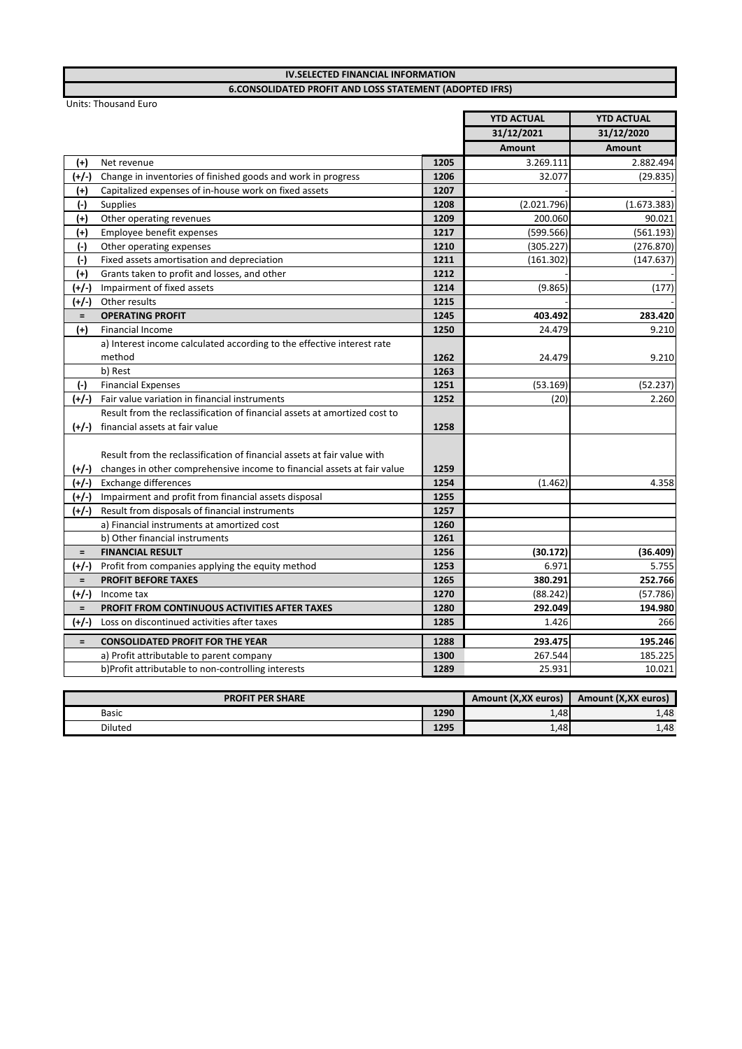| <b>6.CONSOLIDATED PROFIT AND LOSS STATEMENT (ADOPTED IFRS)</b> |                                                                                 |                   |                   |             |
|----------------------------------------------------------------|---------------------------------------------------------------------------------|-------------------|-------------------|-------------|
| <b>Units: Thousand Euro</b>                                    |                                                                                 |                   |                   |             |
|                                                                |                                                                                 | <b>YTD ACTUAL</b> | <b>YTD ACTUAL</b> |             |
|                                                                |                                                                                 | 31/12/2021        | 31/12/2020        |             |
|                                                                |                                                                                 |                   | Amount            | Amount      |
| $(+)$                                                          | Net revenue                                                                     | 1205              | 3.269.111         | 2.882.494   |
| (+/-)                                                          | Change in inventories of finished goods and work in progress                    | 1206              | 32.077            | (29.835)    |
| $^{(+)}$                                                       | Capitalized expenses of in-house work on fixed assets                           | 1207              |                   |             |
| $(-)$                                                          | Supplies                                                                        | 1208              | (2.021.796)       | (1.673.383) |
| $^{(+)}$                                                       | Other operating revenues                                                        | 1209              | 200.060           | 90.021      |
| $^{(+)}$                                                       | Employee benefit expenses                                                       | 1217              | (599.566)         | (561.193)   |
| $(\cdot)$                                                      | Other operating expenses                                                        | 1210              | (305.227)         | (276.870)   |
| $(-)$                                                          | Fixed assets amortisation and depreciation                                      | 1211              | (161.302)         | (147.637)   |
| $(+)$                                                          | Grants taken to profit and losses, and other                                    | 1212              |                   |             |
| (+/-)                                                          | Impairment of fixed assets                                                      | 1214              | (9.865)           | (177)       |
| (+/-)                                                          | Other results                                                                   | 1215              |                   |             |
| $\equiv$                                                       | <b>OPERATING PROFIT</b>                                                         | 1245              | 403.492           | 283.420     |
| $^{(+)}$                                                       | Financial Income                                                                | 1250              | 24.479            | 9.210       |
|                                                                | a) Interest income calculated according to the effective interest rate          |                   |                   |             |
|                                                                | method                                                                          | 1262              | 24.479            | 9.210       |
|                                                                | b) Rest                                                                         | 1263              |                   |             |
| $(-)$                                                          | <b>Financial Expenses</b>                                                       | 1251              | (53.169)          | (52.237)    |
| (+/-)                                                          | Fair value variation in financial instruments                                   | 1252              | (20)              | 2.260       |
|                                                                | Result from the reclassification of financial assets at amortized cost to       |                   |                   |             |
| $(+/-)$                                                        | financial assets at fair value                                                  | 1258              |                   |             |
|                                                                |                                                                                 |                   |                   |             |
|                                                                | Result from the reclassification of financial assets at fair value with         |                   |                   |             |
|                                                                | $(+/-)$ changes in other comprehensive income to financial assets at fair value | 1259              |                   |             |
|                                                                | (+/-) Exchange differences                                                      | 1254              | (1.462)           | 4.358       |
|                                                                | (+/-) Impairment and profit from financial assets disposal                      | 1255              |                   |             |
| (+/-)                                                          | Result from disposals of financial instruments                                  | 1257              |                   |             |
|                                                                | a) Financial instruments at amortized cost                                      | 1260              |                   |             |
|                                                                | b) Other financial instruments                                                  | 1261              |                   |             |
| $=$                                                            | <b>FINANCIAL RESULT</b>                                                         | 1256              | (30.172)          | (36.409)    |
| $(+/-)$                                                        | Profit from companies applying the equity method                                | 1253              | 6.971             | 5.755       |
| $\equiv$                                                       | <b>PROFIT BEFORE TAXES</b>                                                      | 1265              | 380.291           | 252.766     |
| $(+/-)$                                                        | Income tax                                                                      | 1270              | (88.242)          | (57.786)    |
| $=$                                                            | PROFIT FROM CONTINUOUS ACTIVITIES AFTER TAXES                                   | 1280              | 292.049           | 194.980     |
| $(+/-)$                                                        | Loss on discontinued activities after taxes                                     | 1285              | 1.426             | 266         |
| $\equiv$                                                       | <b>CONSOLIDATED PROFIT FOR THE YEAR</b>                                         | 1288              | 293.475           | 195.246     |
|                                                                | a) Profit attributable to parent company                                        | 1300              | 267.544           | 185.225     |
|                                                                | b)Profit attributable to non-controlling interests                              | 1289              | 25.931            | 10.021      |
|                                                                |                                                                                 |                   |                   |             |

**IV.SELECTED FINANCIAL INFORMATION** 

|              | <b>PROFIT PER SHARE</b> |      | Amount (X, XX euros) | Amount (X,XX euros) |
|--------------|-------------------------|------|----------------------|---------------------|
| <b>Basic</b> |                         | 1290 | 1,48                 | 1,48                |
| Diluted      |                         | 1295 | 1,48                 | 1,48                |
|              |                         |      |                      |                     |